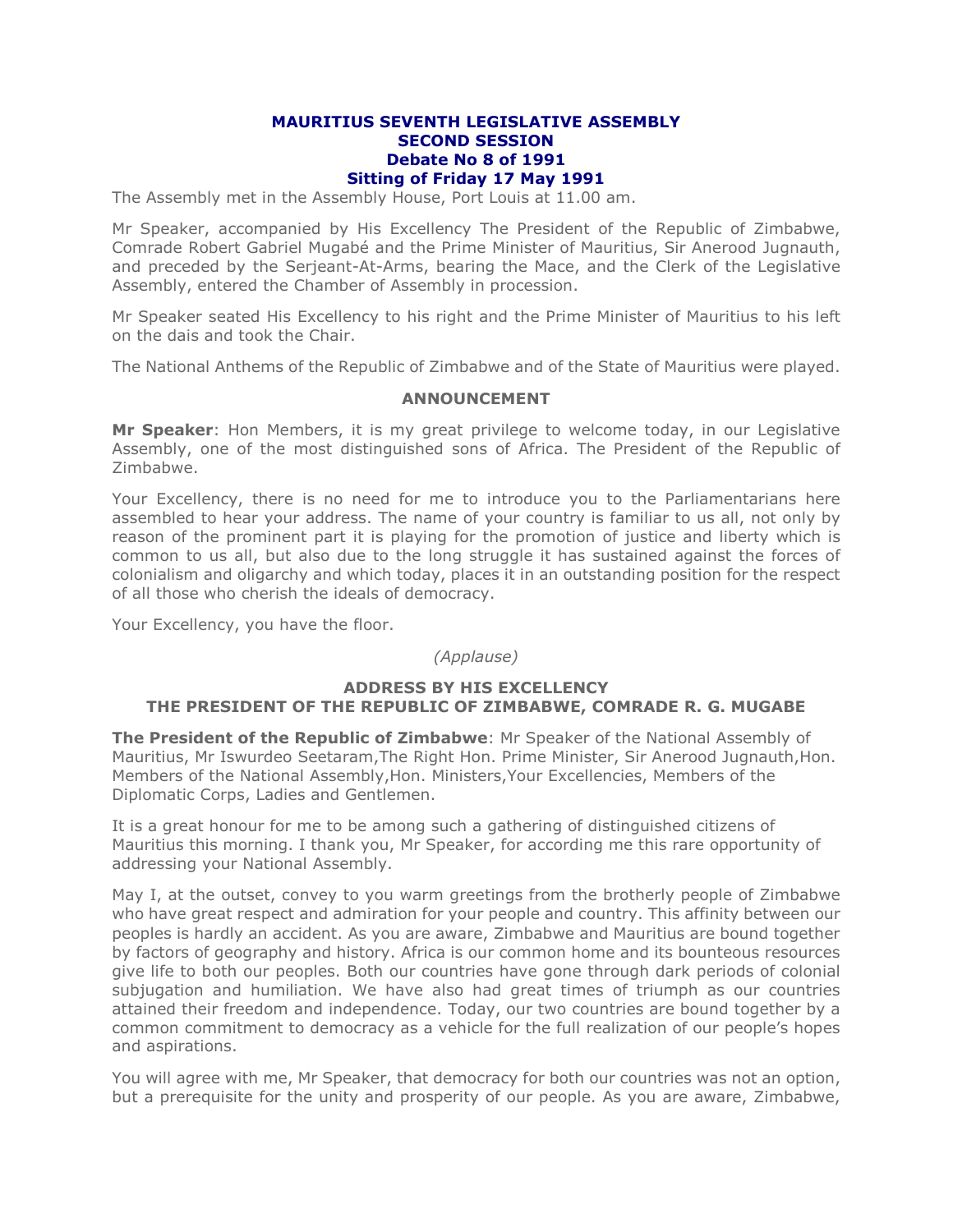## **MAURITIUS SEVENTH LEGISLATIVE ASSEMBLY SECOND SESSION Debate No 8 of 1991 Sitting of Friday 17 May 1991**

The Assembly met in the Assembly House, Port Louis at 11.00 am.

Mr Speaker, accompanied by His Excellency The President of the Republic of Zimbabwe, Comrade Robert Gabriel Mugabé and the Prime Minister of Mauritius, Sir Anerood Jugnauth, and preceded by the Serjeant-At-Arms, bearing the Mace, and the Clerk of the Legislative Assembly, entered the Chamber of Assembly in procession.

Mr Speaker seated His Excellency to his right and the Prime Minister of Mauritius to his left on the dais and took the Chair.

The National Anthems of the Republic of Zimbabwe and of the State of Mauritius were played.

# **ANNOUNCEMENT**

**Mr Speaker**: Hon Members, it is my great privilege to welcome today, in our Legislative Assembly, one of the most distinguished sons of Africa. The President of the Republic of Zimbabwe.

Your Excellency, there is no need for me to introduce you to the Parliamentarians here assembled to hear your address. The name of your country is familiar to us all, not only by reason of the prominent part it is playing for the promotion of justice and liberty which is common to us all, but also due to the long struggle it has sustained against the forces of colonialism and oligarchy and which today, places it in an outstanding position for the respect of all those who cherish the ideals of democracy.

Your Excellency, you have the floor.

*(Applause)*

# **ADDRESS BY HIS EXCELLENCY THE PRESIDENT OF THE REPUBLIC OF ZIMBABWE, COMRADE R. G. MUGABE**

**The President of the Republic of Zimbabwe**: Mr Speaker of the National Assembly of Mauritius, Mr Iswurdeo Seetaram,The Right Hon. Prime Minister, Sir Anerood Jugnauth,Hon. Members of the National Assembly,Hon. Ministers,Your Excellencies, Members of the Diplomatic Corps, Ladies and Gentlemen.

It is a great honour for me to be among such a gathering of distinguished citizens of Mauritius this morning. I thank you, Mr Speaker, for according me this rare opportunity of addressing your National Assembly.

May I, at the outset, convey to you warm greetings from the brotherly people of Zimbabwe who have great respect and admiration for your people and country. This affinity between our peoples is hardly an accident. As you are aware, Zimbabwe and Mauritius are bound together by factors of geography and history. Africa is our common home and its bounteous resources give life to both our peoples. Both our countries have gone through dark periods of colonial subjugation and humiliation. We have also had great times of triumph as our countries attained their freedom and independence. Today, our two countries are bound together by a common commitment to democracy as a vehicle for the full realization of our people's hopes and aspirations.

You will agree with me, Mr Speaker, that democracy for both our countries was not an option, but a prerequisite for the unity and prosperity of our people. As you are aware, Zimbabwe,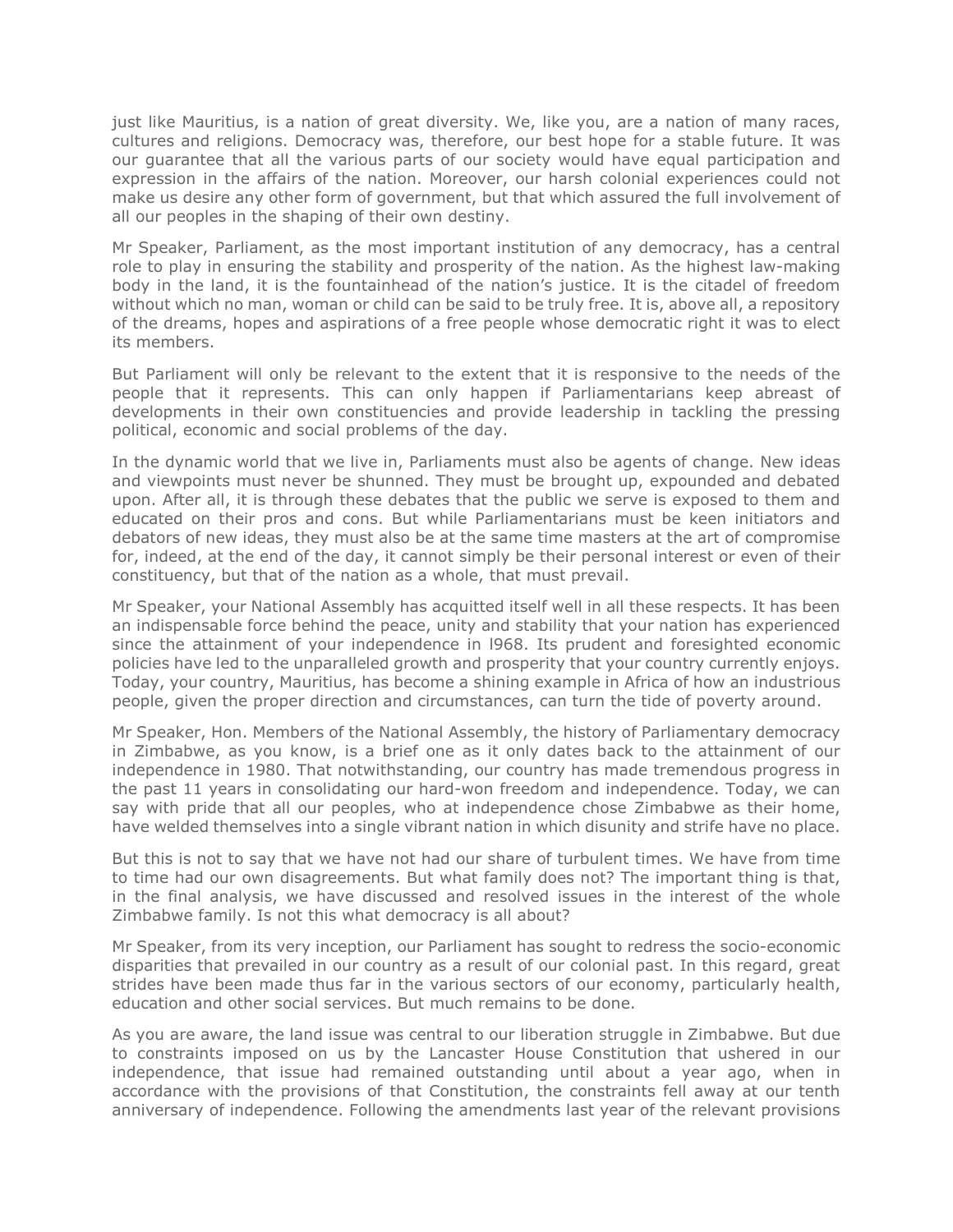just like Mauritius, is a nation of great diversity. We, like you, are a nation of many races, cultures and religions. Democracy was, therefore, our best hope for a stable future. It was our guarantee that all the various parts of our society would have equal participation and expression in the affairs of the nation. Moreover, our harsh colonial experiences could not make us desire any other form of government, but that which assured the full involvement of all our peoples in the shaping of their own destiny.

Mr Speaker, Parliament, as the most important institution of any democracy, has a central role to play in ensuring the stability and prosperity of the nation. As the highest law-making body in the land, it is the fountainhead of the nation's justice. It is the citadel of freedom without which no man, woman or child can be said to be truly free. It is, above all, a repository of the dreams, hopes and aspirations of a free people whose democratic right it was to elect its members.

But Parliament will only be relevant to the extent that it is responsive to the needs of the people that it represents. This can only happen if Parliamentarians keep abreast of developments in their own constituencies and provide leadership in tackling the pressing political, economic and social problems of the day.

In the dynamic world that we live in, Parliaments must also be agents of change. New ideas and viewpoints must never be shunned. They must be brought up, expounded and debated upon. After all, it is through these debates that the public we serve is exposed to them and educated on their pros and cons. But while Parliamentarians must be keen initiators and debators of new ideas, they must also be at the same time masters at the art of compromise for, indeed, at the end of the day, it cannot simply be their personal interest or even of their constituency, but that of the nation as a whole, that must prevail.

Mr Speaker, your National Assembly has acquitted itself well in all these respects. It has been an indispensable force behind the peace, unity and stability that your nation has experienced since the attainment of your independence in l968. Its prudent and foresighted economic policies have led to the unparalleled growth and prosperity that your country currently enjoys. Today, your country, Mauritius, has become a shining example in Africa of how an industrious people, given the proper direction and circumstances, can turn the tide of poverty around.

Mr Speaker, Hon. Members of the National Assembly, the history of Parliamentary democracy in Zimbabwe, as you know, is a brief one as it only dates back to the attainment of our independence in 1980. That notwithstanding, our country has made tremendous progress in the past 11 years in consolidating our hard-won freedom and independence. Today, we can say with pride that all our peoples, who at independence chose Zimbabwe as their home, have welded themselves into a single vibrant nation in which disunity and strife have no place.

But this is not to say that we have not had our share of turbulent times. We have from time to time had our own disagreements. But what family does not? The important thing is that, in the final analysis, we have discussed and resolved issues in the interest of the whole Zimbabwe family. Is not this what democracy is all about?

Mr Speaker, from its very inception, our Parliament has sought to redress the socio-economic disparities that prevailed in our country as a result of our colonial past. In this regard, great strides have been made thus far in the various sectors of our economy, particularly health, education and other social services. But much remains to be done.

As you are aware, the land issue was central to our liberation struggle in Zimbabwe. But due to constraints imposed on us by the Lancaster House Constitution that ushered in our independence, that issue had remained outstanding until about a year ago, when in accordance with the provisions of that Constitution, the constraints fell away at our tenth anniversary of independence. Following the amendments last year of the relevant provisions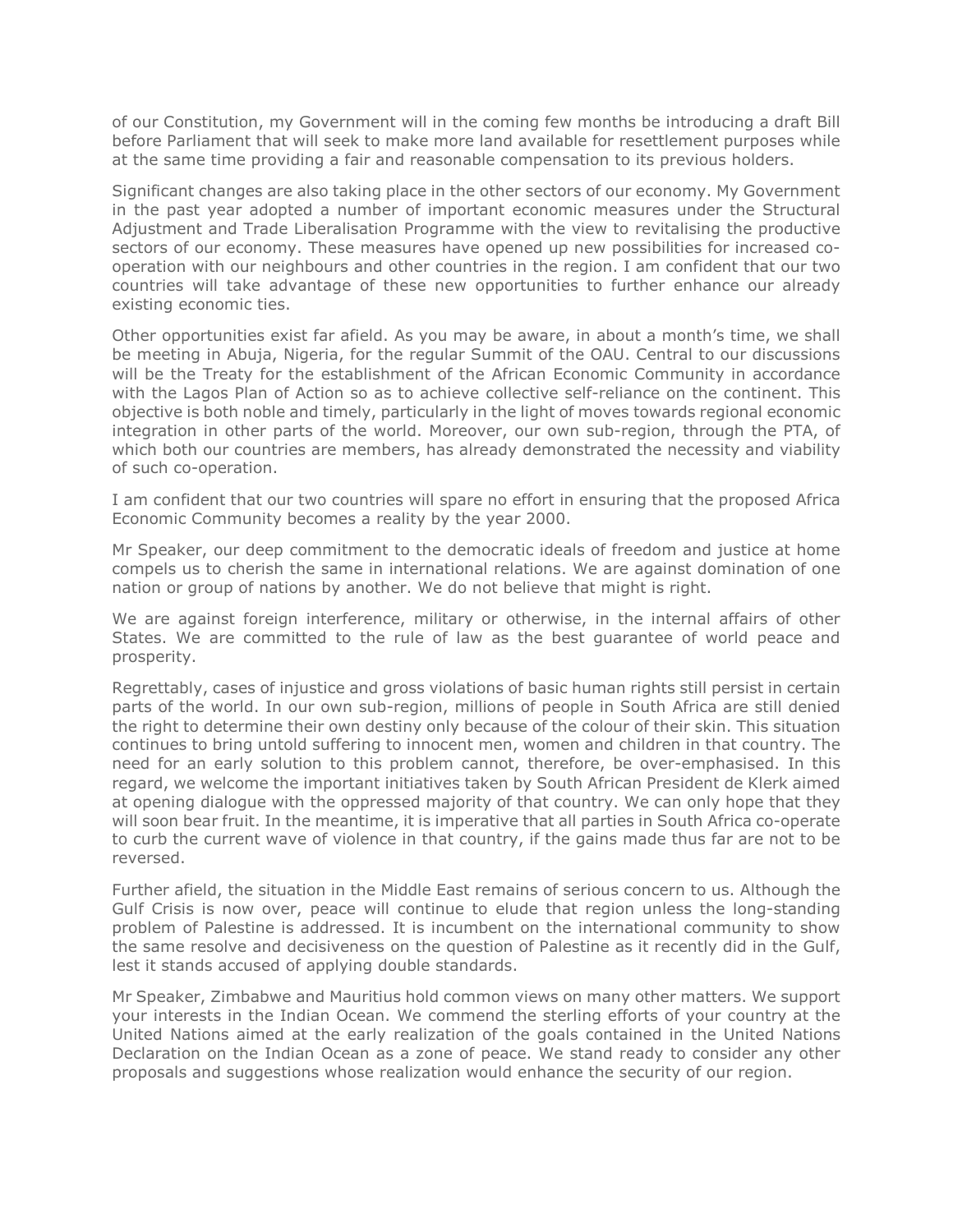of our Constitution, my Government will in the coming few months be introducing a draft Bill before Parliament that will seek to make more land available for resettlement purposes while at the same time providing a fair and reasonable compensation to its previous holders.

Significant changes are also taking place in the other sectors of our economy. My Government in the past year adopted a number of important economic measures under the Structural Adjustment and Trade Liberalisation Programme with the view to revitalising the productive sectors of our economy. These measures have opened up new possibilities for increased cooperation with our neighbours and other countries in the region. I am confident that our two countries will take advantage of these new opportunities to further enhance our already existing economic ties.

Other opportunities exist far afield. As you may be aware, in about a month's time, we shall be meeting in Abuja, Nigeria, for the regular Summit of the OAU. Central to our discussions will be the Treaty for the establishment of the African Economic Community in accordance with the Lagos Plan of Action so as to achieve collective self-reliance on the continent. This objective is both noble and timely, particularly in the light of moves towards regional economic integration in other parts of the world. Moreover, our own sub-region, through the PTA, of which both our countries are members, has already demonstrated the necessity and viability of such co-operation.

I am confident that our two countries will spare no effort in ensuring that the proposed Africa Economic Community becomes a reality by the year 2000.

Mr Speaker, our deep commitment to the democratic ideals of freedom and justice at home compels us to cherish the same in international relations. We are against domination of one nation or group of nations by another. We do not believe that might is right.

We are against foreign interference, military or otherwise, in the internal affairs of other States. We are committed to the rule of law as the best guarantee of world peace and prosperity.

Regrettably, cases of injustice and gross violations of basic human rights still persist in certain parts of the world. In our own sub-region, millions of people in South Africa are still denied the right to determine their own destiny only because of the colour of their skin. This situation continues to bring untold suffering to innocent men, women and children in that country. The need for an early solution to this problem cannot, therefore, be over-emphasised. In this regard, we welcome the important initiatives taken by South African President de Klerk aimed at opening dialogue with the oppressed majority of that country. We can only hope that they will soon bear fruit. In the meantime, it is imperative that all parties in South Africa co-operate to curb the current wave of violence in that country, if the gains made thus far are not to be reversed.

Further afield, the situation in the Middle East remains of serious concern to us. Although the Gulf Crisis is now over, peace will continue to elude that region unless the long-standing problem of Palestine is addressed. It is incumbent on the international community to show the same resolve and decisiveness on the question of Palestine as it recently did in the Gulf, lest it stands accused of applying double standards.

Mr Speaker, Zimbabwe and Mauritius hold common views on many other matters. We support your interests in the Indian Ocean. We commend the sterling efforts of your country at the United Nations aimed at the early realization of the goals contained in the United Nations Declaration on the Indian Ocean as a zone of peace. We stand ready to consider any other proposals and suggestions whose realization would enhance the security of our region.